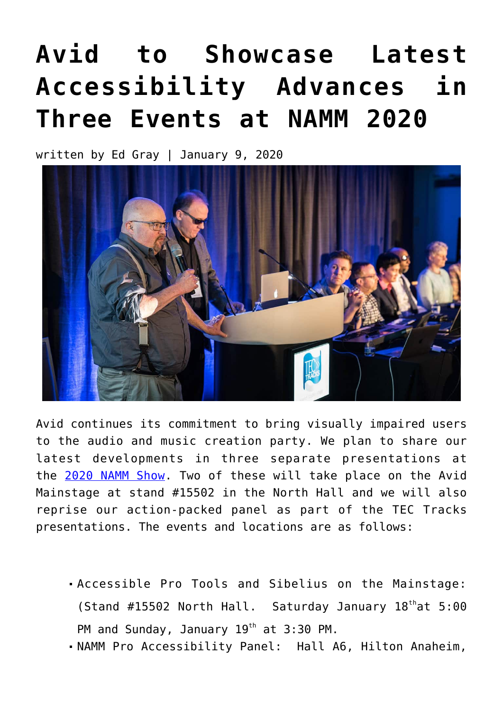# **[Avid to Showcase Latest](https://www.avidblogs.com/avid-to-showcase-latest-accessibility-advances-in-three-events-at-namm-2020/) [Accessibility Advances in](https://www.avidblogs.com/avid-to-showcase-latest-accessibility-advances-in-three-events-at-namm-2020/) [Three Events at NAMM 2020](https://www.avidblogs.com/avid-to-showcase-latest-accessibility-advances-in-three-events-at-namm-2020/)**

written by Ed Gray | January 9, 2020



Avid continues its commitment to bring visually impaired users to the audio and music creation party. We plan to share our latest developments in three separate presentations at the [2020 NAMM Show](https://www.namm.org/thenammshow/2020/events/education/nammu/tec-tracks). Two of these will take place on the Avid Mainstage at stand #15502 in the North Hall and we will also reprise our action-packed panel as part of the TEC Tracks presentations. The events and locations are as follows:

- Accessible Pro Tools and Sibelius on the Mainstage: (Stand #15502 North Hall. Saturday January 18<sup>th</sup>at 5:00 PM and Sunday, January 19<sup>th</sup> at 3:30 PM.
- NAMM Pro Accessibility Panel: Hall A6, Hilton Anaheim,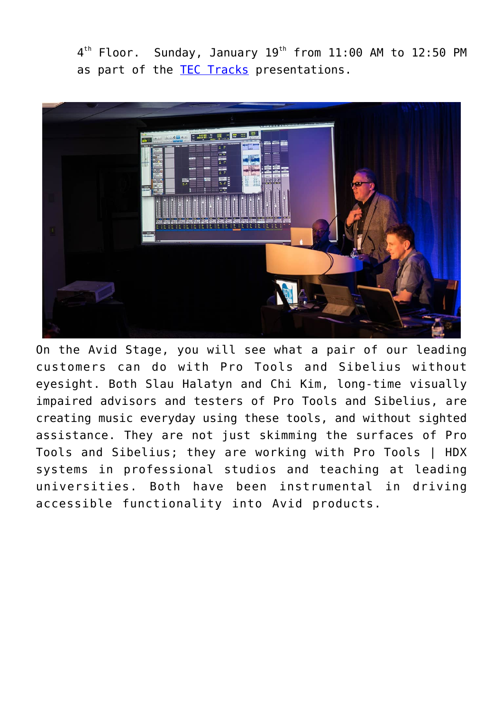$4^\text{th}$  Floor.  $\,$  Sunday, January  $19^\text{th}$  from  $11\!:\!00$  AM to  $12\!:\!50$  PM as part of the [TEC Tracks](https://www.namm.org/thenammshow/2020/events/education/nammu/tec-tracks) presentations.



On the Avid Stage, you will see what a pair of our leading customers can do with Pro Tools and Sibelius without eyesight. Both Slau Halatyn and Chi Kim, long-time visually impaired advisors and testers of Pro Tools and Sibelius, are creating music everyday using these tools, and without sighted assistance. They are not just skimming the surfaces of Pro Tools and Sibelius; they are working with Pro Tools | HDX systems in professional studios and teaching at leading universities. Both have been instrumental in driving accessible functionality into Avid products.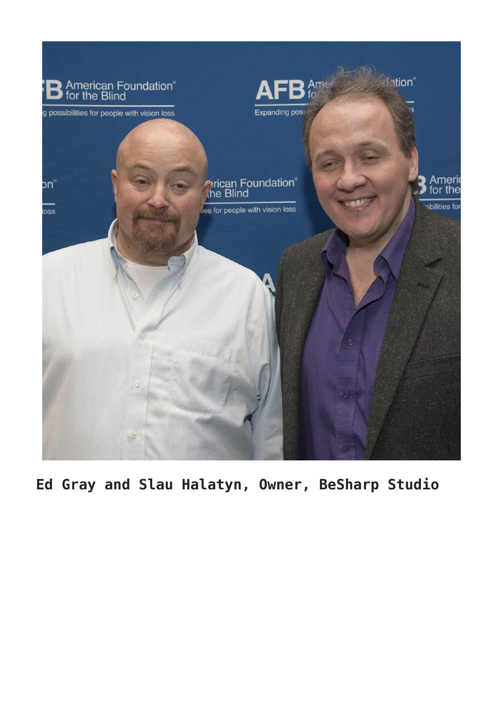

**Ed Gray and Slau Halatyn, Owner, BeSharp Studio**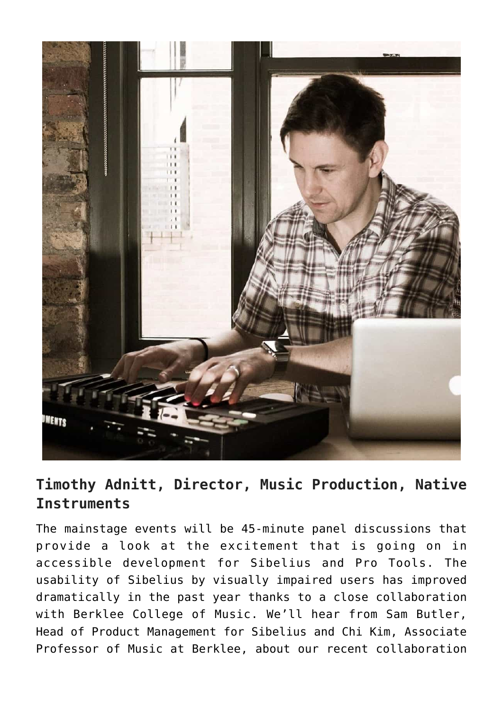

### **Timothy Adnitt, Director, Music Production, Native Instruments**

The mainstage events will be 45-minute panel discussions that provide a look at the excitement that is going on in accessible development for Sibelius and Pro Tools. The usability of Sibelius by visually impaired users has improved dramatically in the past year thanks to a close collaboration with Berklee College of Music. We'll hear from Sam Butler, Head of Product Management for Sibelius and Chi Kim, Associate Professor of Music at Berklee, about our recent collaboration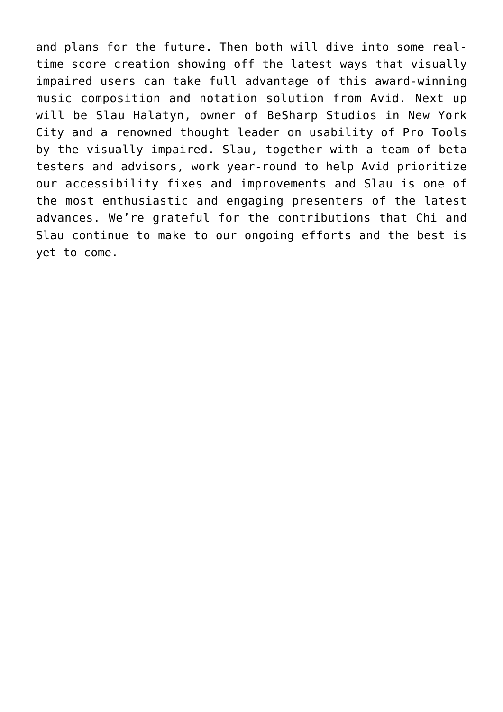and plans for the future. Then both will dive into some realtime score creation showing off the latest ways that visually impaired users can take full advantage of this award-winning music composition and notation solution from Avid. Next up will be Slau Halatyn, owner of BeSharp Studios in New York City and a renowned thought leader on usability of Pro Tools by the visually impaired. Slau, together with a team of beta testers and advisors, work year-round to help Avid prioritize our accessibility fixes and improvements and Slau is one of the most enthusiastic and engaging presenters of the latest advances. We're grateful for the contributions that Chi and Slau continue to make to our ongoing efforts and the best is yet to come.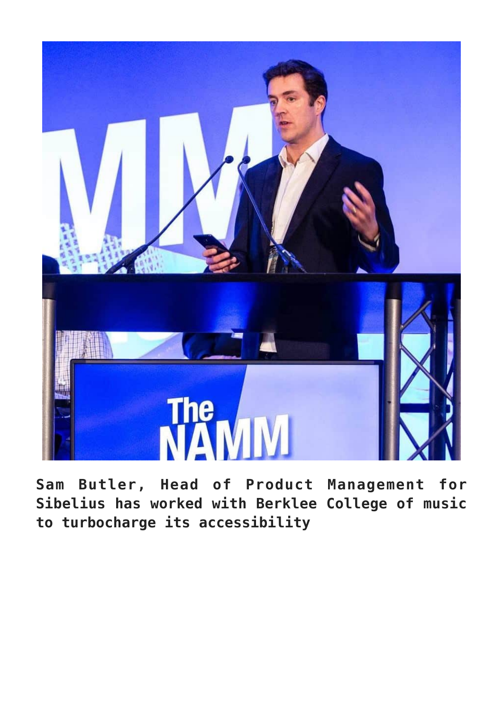

**Sam Butler, Head of Product Management for Sibelius has worked with Berklee College of music to turbocharge its accessibility**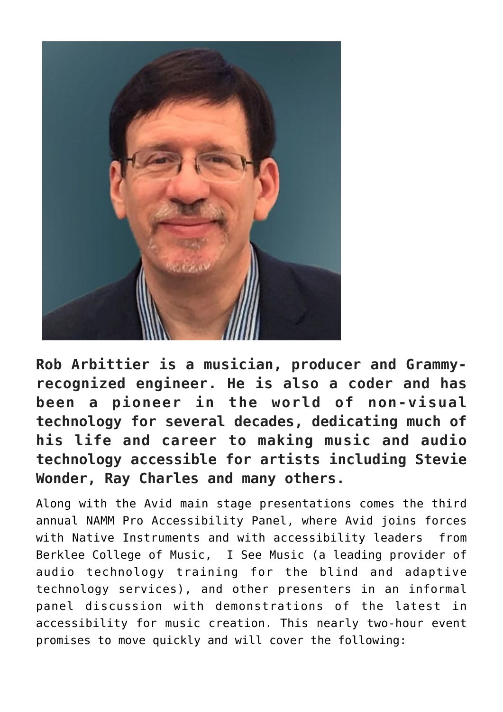

**Rob Arbittier is a musician, producer and Grammyrecognized engineer. He is also a coder and has been a pioneer in the world of non-visual technology for several decades, dedicating much of his life and career to making music and audio technology accessible for artists including Stevie Wonder, Ray Charles and many others.**

Along with the Avid main stage presentations comes the third annual NAMM Pro Accessibility Panel, where Avid joins forces with Native Instruments and with accessibility leaders from Berklee College of Music, I See Music (a leading provider of audio technology training for the blind and adaptive technology services), and other presenters in an informal panel discussion with demonstrations of the latest in accessibility for music creation. This nearly two-hour event promises to move quickly and will cover the following: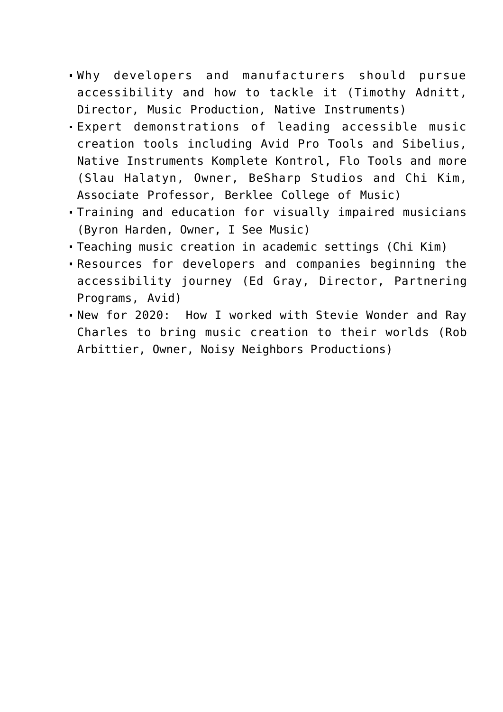- Why developers and manufacturers should pursue accessibility and how to tackle it (Timothy Adnitt, Director, Music Production, Native Instruments)
- Expert demonstrations of leading accessible music creation tools including Avid Pro Tools and Sibelius, Native Instruments Komplete Kontrol, Flo Tools and more (Slau Halatyn, Owner, BeSharp Studios and Chi Kim, Associate Professor, Berklee College of Music)
- Training and education for visually impaired musicians (Byron Harden, Owner, I See Music)
- Teaching music creation in academic settings (Chi Kim)
- Resources for developers and companies beginning the accessibility journey (Ed Gray, Director, Partnering Programs, Avid)
- New for 2020: How I worked with Stevie Wonder and Ray Charles to bring music creation to their worlds (Rob Arbittier, Owner, Noisy Neighbors Productions)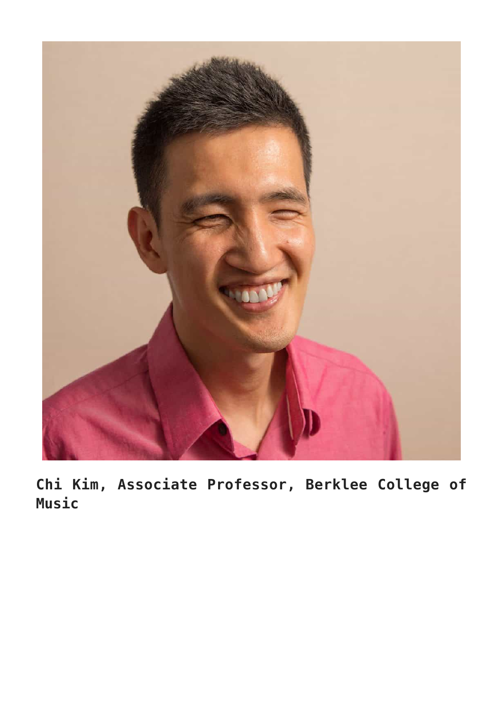

**Chi Kim, Associate Professor, Berklee College of Music**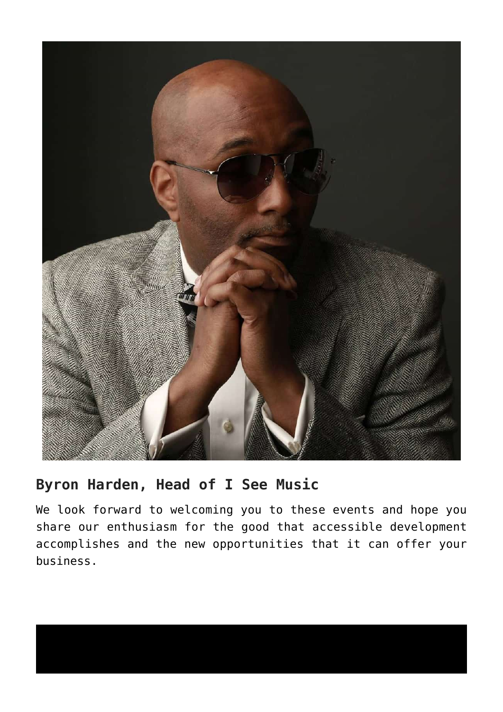

#### **Byron Harden, Head of I See Music**

We look forward to welcoming you to these events and hope you share our enthusiasm for the good that accessible development accomplishes and the new opportunities that it can offer your business.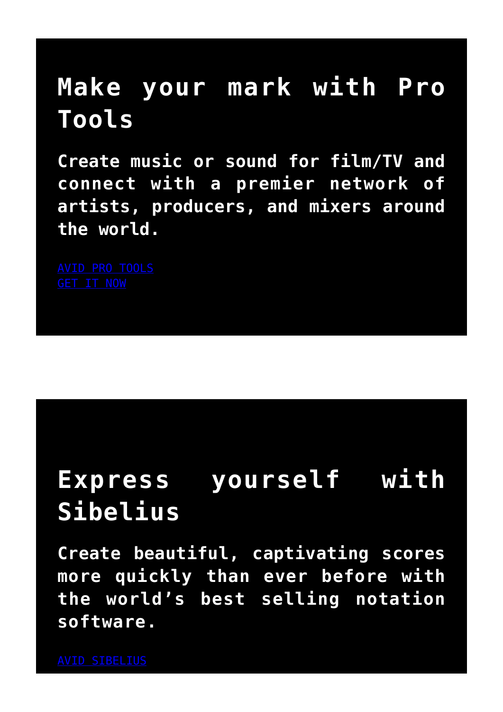## **Make your mark with Pro Tools**

**Create music or sound for film/TV and connect with a premier network of artists, producers, and mixers around the world.**

## **Express yourself with Sibelius**

**Create beautiful, captivating scores more quickly than ever before with the world's best selling notation software.**